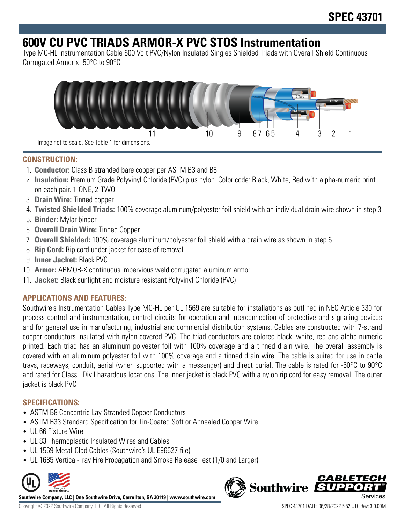# **600V CU PVC TRIADS ARMOR-X PVC STOS Instrumentation**

Type MC-HL Instrumentation Cable 600 Volt PVC/Nylon Insulated Singles Shielded Triads with Overall Shield Continuous Corrugated Armor-x -50°C to 90°C



## **CONSTRUCTION:**

- 1. **Conductor:** Class B stranded bare copper per ASTM B3 and B8
- 2. **Insulation:** Premium Grade Polyvinyl Chloride (PVC) plus nylon. Color code: Black, White, Red with alpha-numeric print on each pair. 1-ONE, 2-TWO
- 3. **Drain Wire:** Tinned copper
- 4. **Twisted Shielded Triads:** 100% coverage aluminum/polyester foil shield with an individual drain wire shown in step 3
- 5. **Binder:** Mylar binder
- 6. **Overall Drain Wire:** Tinned Copper
- 7. **Overall Shielded:** 100% coverage aluminum/polyester foil shield with a drain wire as shown in step 6
- 8. **Rip Cord:** Rip cord under jacket for ease of removal
- 9. **Inner Jacket:** Black PVC
- 10. **Armor:** ARMOR-X continuous impervious weld corrugated aluminum armor
- 11. **Jacket:** Black sunlight and moisture resistant Polyvinyl Chloride (PVC)

# **APPLICATIONS AND FEATURES:**

Southwire's Instrumentation Cables Type MC-HL per UL 1569 are suitable for installations as outlined in NEC Article 330 for process control and instrumentation, control circuits for operation and interconnection of protective and signaling devices and for general use in manufacturing, industrial and commercial distribution systems. Cables are constructed with 7-strand copper conductors insulated with nylon covered PVC. The triad conductors are colored black, white, red and alpha-numeric printed. Each triad has an aluminum polyester foil with 100% coverage and a tinned drain wire. The overall assembly is covered with an aluminum polyester foil with 100% coverage and a tinned drain wire. The cable is suited for use in cable trays, raceways, conduit, aerial (when supported with a messenger) and direct burial. The cable is rated for -50°C to 90°C and rated for Class I Div I hazardous locations. The inner jacket is black PVC with a nylon rip cord for easy removal. The outer jacket is black PVC

## **SPECIFICATIONS:**

- ASTM B8 Concentric-Lay-Stranded Copper Conductors
- ASTM B33 Standard Specification for Tin-Coated Soft or Annealed Copper Wire
- UL 66 Fixture Wire
- UL 83 Thermoplastic Insulated Wires and Cables
- UL 1569 Metal-Clad Cables (Southwire's UL E96627 file)
- UL 1685 Vertical-Tray Fire Propagation and Smoke Release Test (1/0 and Larger)



**Southwire Company, LLC | One Southwire Drive, Carrollton, GA 30119 | www.southwire.com**